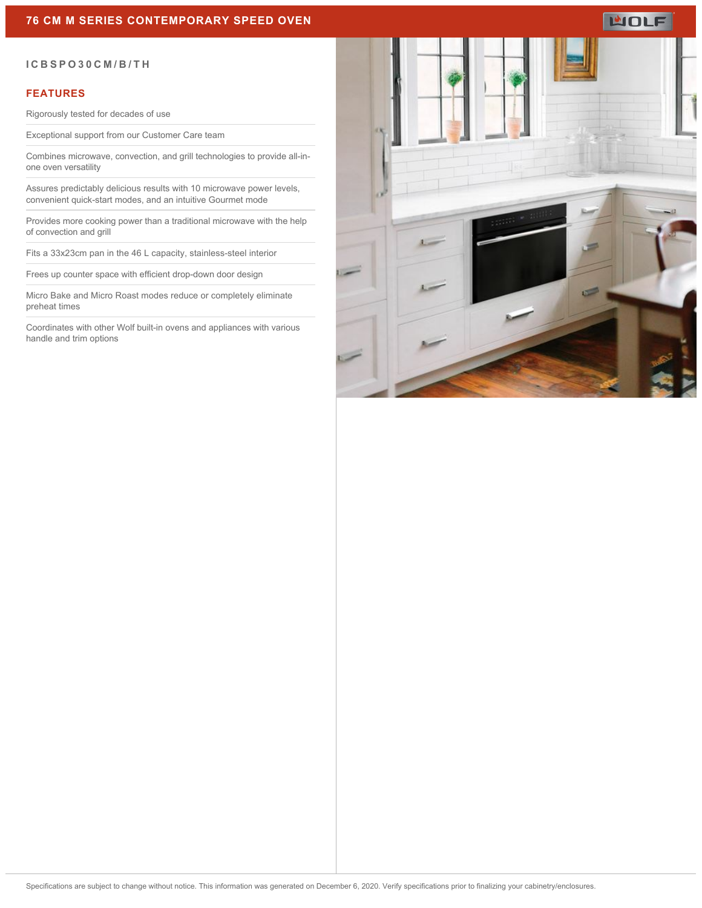# **WOLF**

#### **ICBSPO30CM/B/TH**

#### **FEATURES**

Rigorously tested for decades of use

Exceptional support from our Customer Care team

Combines microwave, convection, and grill technologies to provide all-inone oven versatility

Assures predictably delicious results with 10 microwave power levels, convenient quick-start modes, and an intuitive Gourmet mode

Provides more cooking power than a traditional microwave with the help of convection and grill

Fits a 33x23cm pan in the 46 L capacity, stainless-steel interior

Frees up counter space with efficient drop-down door design

Micro Bake and Micro Roast modes reduce or completely eliminate preheat times

Coordinates with other Wolf built-in ovens and appliances with various handle and trim options